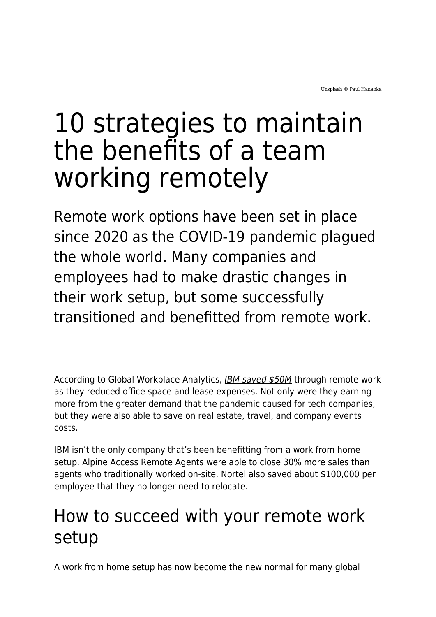# 10 strategies to maintain the benefits of a team working remotely

Remote work options have been set in place since 2020 as the COVID-19 pandemic plagued the whole world. Many companies and employees had to make drastic changes in their work setup, but some successfully transitioned and benefitted from remote work.

According to Global Workplace Analytics, [IBM saved \\$50M](https://globalworkplaceanalytics.com/resources/costs-benefits) through remote work as they reduced office space and lease expenses. Not only were they earning more from the greater demand that the pandemic caused for tech companies, but they were also able to save on real estate, travel, and company events costs.

IBM isn't the only company that's been benefitting from a work from home setup. Alpine Access Remote Agents were able to close 30% more sales than agents who traditionally worked on-site. Nortel also saved about \$100,000 per employee that they no longer need to relocate.

# How to succeed with your remote work setup

A work from home setup has now become the new normal for many global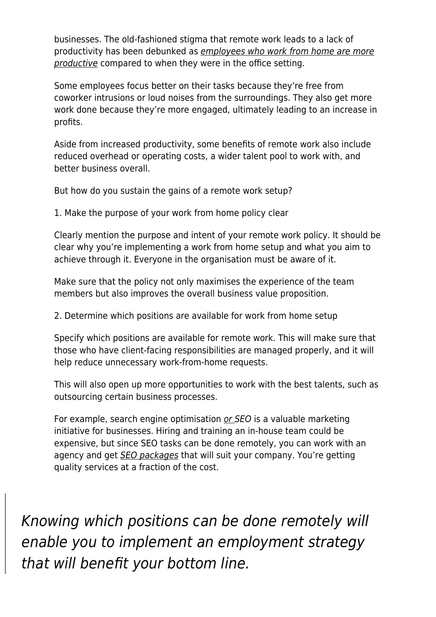businesses. The old-fashioned stigma that remote work leads to a lack of productivity has been debunked as [employees who work from home are more](https://www.businessnewsdaily.com/15259-working-from-home-more-productive.html) [productive](https://www.businessnewsdaily.com/15259-working-from-home-more-productive.html) compared to when they were in the office setting.

Some employees focus better on their tasks because they're free from coworker intrusions or loud noises from the surroundings. They also get more work done because they're more engaged, ultimately leading to an increase in profits.

Aside from increased productivity, some benefits of remote work also include reduced overhead or operating costs, a wider talent pool to work with, and better business overall.

But how do you sustain the gains of a remote work setup?

1. Make the purpose of your work from home policy clear

Clearly mention the purpose and intent of your remote work policy. It should be clear why you're implementing a work from home setup and what you aim to achieve through it. Everyone in the organisation must be aware of it.

Make sure that the policy not only maximises the experience of the team members but also improves the overall business value proposition.

2. Determine which positions are available for work from home setup

Specify which positions are available for remote work. This will make sure that those who have client-facing responsibilities are managed properly, and it will help reduce unnecessary work-from-home requests.

This will also open up more opportunities to work with the best talents, such as outsourcing certain business processes.

For example, search engine optimisation [or S](https://www.maddyness.com/uk/2021/12/22/local-vs-global-seo-whats-the-difference/)EO is a valuable marketing initiative for businesses. Hiring and training an in-house team could be expensive, but since SEO tasks can be done remotely, you can work with an agency and get *[SEO packages](https://www.seoreseller.com/seo-packages)* that will suit your company. You're getting quality services at a fraction of the cost.

Knowing which positions can be done remotely will enable you to implement an employment strategy that will benefit your bottom line.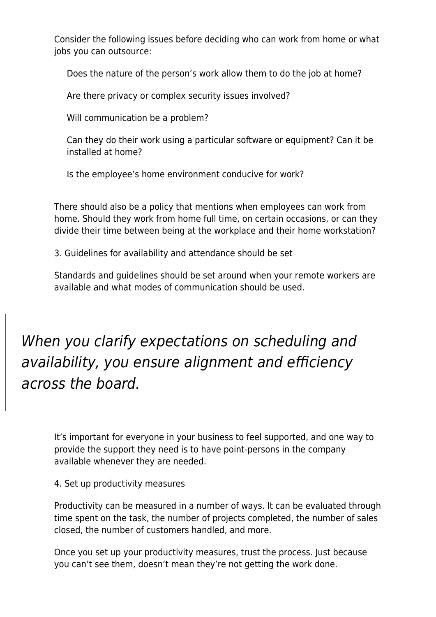Consider the following issues before deciding who can work from home or what jobs you can outsource:

Does the nature of the person's work allow them to do the job at home?

Are there privacy or complex security issues involved?

Will communication be a problem?

Can they do their work using a particular software or equipment? Can it be installed at home?

Is the employee's home environment conducive for work?

There should also be a policy that mentions when employees can work from home. Should they work from home full time, on certain occasions, or can they divide their time between being at the workplace and their home workstation?

3. Guidelines for availability and attendance should be set

Standards and guidelines should be set around when your remote workers are available and what modes of communication should be used.

When you clarify expectations on scheduling and availability, you ensure alignment and efficiency across the board.

It's important for everyone in your business to feel supported, and one way to provide the support they need is to have point-persons in the company available whenever they are needed.

4. Set up productivity measures

Productivity can be measured in a number of ways. It can be evaluated through time spent on the task, the number of projects completed, the number of sales closed, the number of customers handled, and more.

Once you set up your productivity measures, trust the process. Just because you can't see them, doesn't mean they're not getting the work done.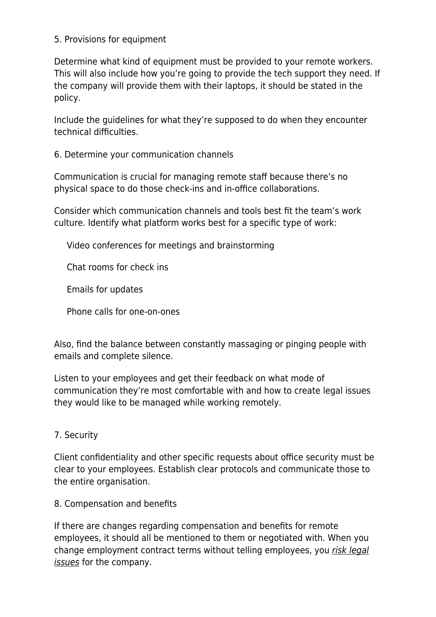#### 5. Provisions for equipment

Determine what kind of equipment must be provided to your remote workers. This will also include how you're going to provide the tech support they need. If the company will provide them with their laptops, it should be stated in the policy.

Include the guidelines for what they're supposed to do when they encounter technical difficulties.

6. Determine your communication channels

Communication is crucial for managing remote staff because there's no physical space to do those check-ins and in-office collaborations.

Consider which communication channels and tools best fit the team's work culture. Identify what platform works best for a specific type of work:

Video conferences for meetings and brainstorming

Chat rooms for check ins

Emails for updates

Phone calls for one-on-ones

Also, find the balance between constantly massaging or pinging people with emails and complete silence.

Listen to your employees and get their feedback on what mode of communication they're most comfortable with and how to create legal issues they would like to be managed while working remotely.

7. Security

Client confidentiality and other specific requests about office security must be clear to your employees. Establish clear protocols and communicate those to the entire organisation.

#### 8. Compensation and benefits

If there are changes regarding compensation and benefits for remote employees, it should all be mentioned to them or negotiated with. When you change employment contract terms without telling employees, you [risk legal](https://www.springhouselaw.com/knowledge/changing-an-employment-contract/) [issues](https://www.springhouselaw.com/knowledge/changing-an-employment-contract/) for the company.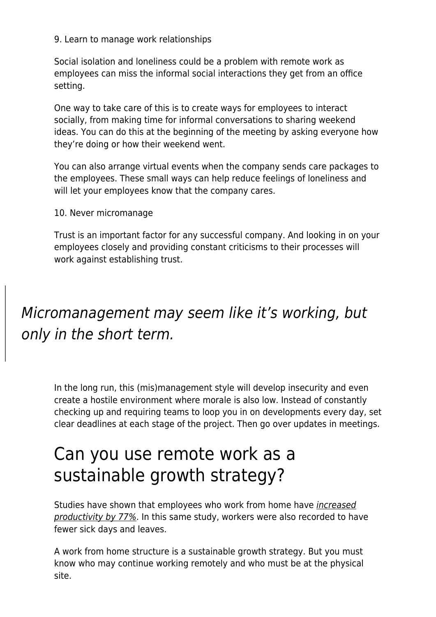9. Learn to manage work relationships

Social isolation and loneliness could be a problem with remote work as employees can miss the informal social interactions they get from an office setting.

One way to take care of this is to create ways for employees to interact socially, from making time for informal conversations to sharing weekend ideas. You can do this at the beginning of the meeting by asking everyone how they're doing or how their weekend went.

You can also arrange virtual events when the company sends care packages to the employees. These small ways can help reduce feelings of loneliness and will let your employees know that the company cares.

10. Never micromanage

Trust is an important factor for any successful company. And looking in on your employees closely and providing constant criticisms to their processes will work against establishing trust.

### Micromanagement may seem like it's working, but only in the short term.

In the long run, this (mis)management style will develop insecurity and even create a hostile environment where morale is also low. Instead of constantly checking up and requiring teams to loop you in on developments every day, set clear deadlines at each stage of the project. Then go over updates in meetings.

## Can you use remote work as a sustainable growth strategy?

Studies have shown that employees who work from home have [increased](https://www.apollotechnical.com/working-from-home-productivity-statistics/%23:~:text=Several%2520studies%2520over%2520the%2520past,and%2520are%252047%2525%2520more%2520productive.) [productivity by 77%](https://www.apollotechnical.com/working-from-home-productivity-statistics/%23:~:text=Several%2520studies%2520over%2520the%2520past,and%2520are%252047%2525%2520more%2520productive.). In this same study, workers were also recorded to have fewer sick days and leaves.

A work from home structure is a sustainable growth strategy. But you must know who may continue working remotely and who must be at the physical site.